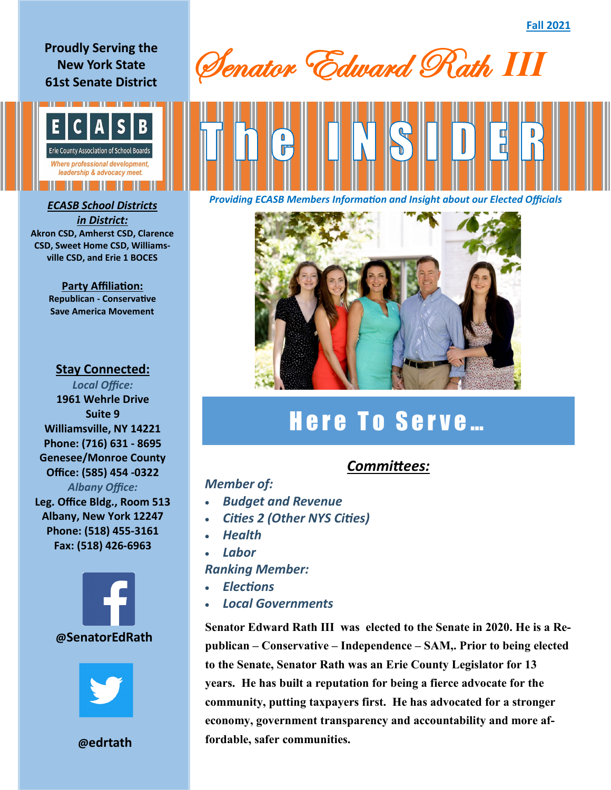## **Proudly Serving the New York State 61st Senate District**



# *in District:*

**Akron CSD, Amherst CSD, Clarence CSD, Sweet Home CSD, Williamsville CSD, and Erie 1 BOCES**

> **Party Affiliation: Republican - Conservative Save America Movement**

#### **Stay Connected:**

*Local Office:* **1961 Wehrle Drive Suite 9 Williamsville, NY 14221 Phone: (716) 631 - 8695 Genesee/Monroe County Office: (585) 454 -0322** *Albany Office:*  **Leg. Office Bldg., Room 513 Albany, New York 12247 Phone: (518) 455-3161 Fax: (518) 426-6963**





**@edrtath**

Senator Edward Rath *III*



# Here To Serve...

### *Committees:*

### *Member of:*

- *Budget and Revenue*
- *Cities 2 (Other NYS Cities)*
- *Health*
- *Labor*

### *Ranking Member:*

- *Elections*
- *Local Governments*

**Senator Edward Rath III was elected to the Senate in 2020. He is a Republican – Conservative – Independence – SAM,. Prior to being elected to the Senate, Senator Rath was an Erie County Legislator for 13 years. He has built a reputation for being a fierce advocate for the community, putting taxpayers first. He has advocated for a stronger economy, government transparency and accountability and more affordable, safer communities.**